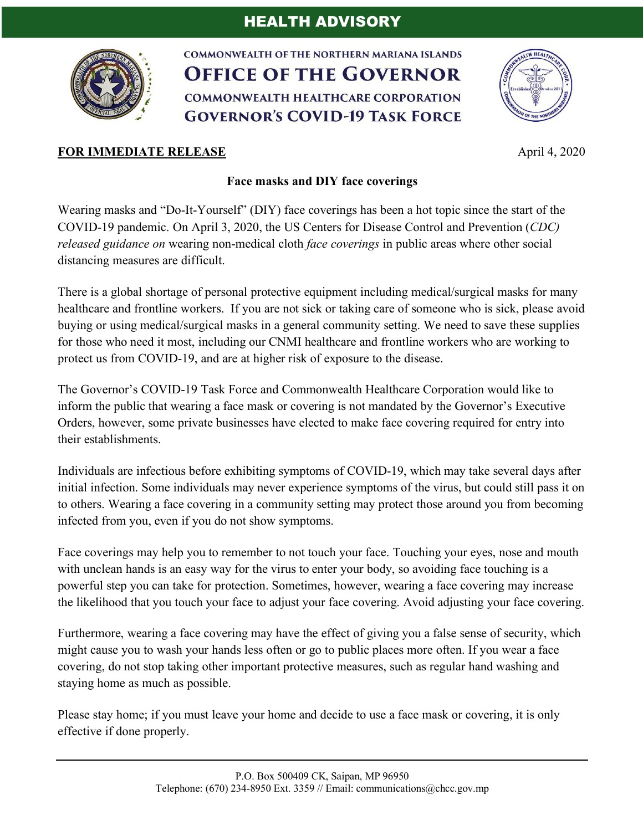## HEALTH ADVISORY



COMMONWEALTH OF THE NORTHERN MARIANA ISLANDS **OFFICE OF THE GOVERNOR COMMONWEALTH HEALTHCARE CORPORATION GOVERNOR'S COVID-19 TASK FORCE** 



## **FOR IMMEDIATE RELEASE** April 4, 2020

## **Face masks and DIY face coverings**

Wearing masks and "Do-It-Yourself" (DIY) face coverings has been a hot topic since the start of the COVID-19 pandemic. On April 3, 2020, the US Centers for Disease Control and Prevention (*CDC) released guidance on* wearing non-medical cloth *face coverings* in public areas where other social distancing measures are difficult.

There is a global shortage of personal protective equipment including medical/surgical masks for many healthcare and frontline workers. If you are not sick or taking care of someone who is sick, please avoid buying or using medical/surgical masks in a general community setting. We need to save these supplies for those who need it most, including our CNMI healthcare and frontline workers who are working to protect us from COVID-19, and are at higher risk of exposure to the disease.

The Governor's COVID-19 Task Force and Commonwealth Healthcare Corporation would like to inform the public that wearing a face mask or covering is not mandated by the Governor's Executive Orders, however, some private businesses have elected to make face covering required for entry into their establishments.

Individuals are infectious before exhibiting symptoms of COVID-19, which may take several days after initial infection. Some individuals may never experience symptoms of the virus, but could still pass it on to others. Wearing a face covering in a community setting may protect those around you from becoming infected from you, even if you do not show symptoms.

Face coverings may help you to remember to not touch your face. Touching your eyes, nose and mouth with unclean hands is an easy way for the virus to enter your body, so avoiding face touching is a powerful step you can take for protection. Sometimes, however, wearing a face covering may increase the likelihood that you touch your face to adjust your face covering. Avoid adjusting your face covering.

Furthermore, wearing a face covering may have the effect of giving you a false sense of security, which might cause you to wash your hands less often or go to public places more often. If you wear a face covering, do not stop taking other important protective measures, such as regular hand washing and staying home as much as possible.

Please stay home; if you must leave your home and decide to use a face mask or covering, it is only effective if done properly.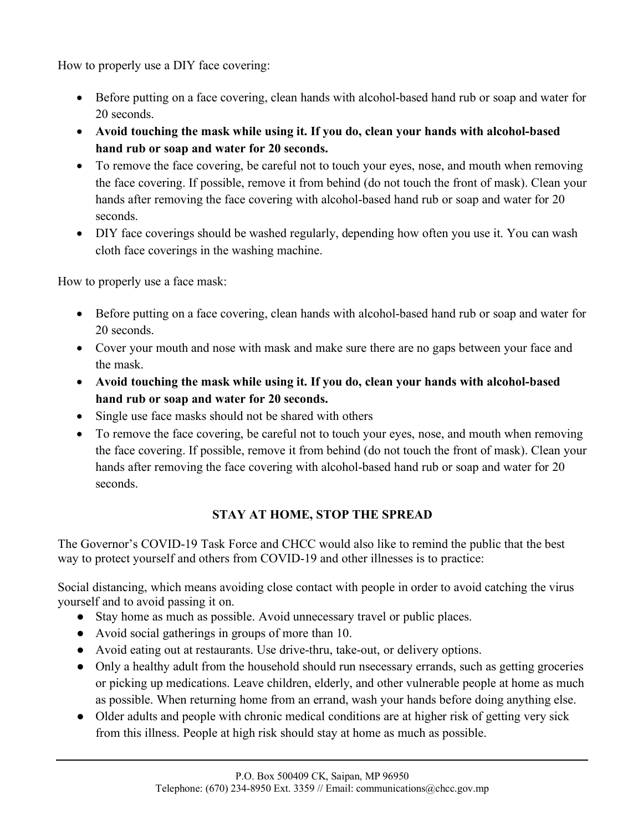How to properly use a DIY face covering:

- Before putting on a face covering, clean hands with alcohol-based hand rub or soap and water for 20 seconds.
- **Avoid touching the mask while using it. If you do, clean your hands with alcohol-based hand rub or soap and water for 20 seconds.**
- To remove the face covering, be careful not to touch your eyes, nose, and mouth when removing the face covering. If possible, remove it from behind (do not touch the front of mask). Clean your hands after removing the face covering with alcohol-based hand rub or soap and water for 20 seconds.
- DIY face coverings should be washed regularly, depending how often you use it. You can wash cloth face coverings in the washing machine.

How to properly use a face mask:

- Before putting on a face covering, clean hands with alcohol-based hand rub or soap and water for 20 seconds.
- Cover your mouth and nose with mask and make sure there are no gaps between your face and the mask.
- **Avoid touching the mask while using it. If you do, clean your hands with alcohol-based hand rub or soap and water for 20 seconds.**
- Single use face masks should not be shared with others
- To remove the face covering, be careful not to touch your eyes, nose, and mouth when removing the face covering. If possible, remove it from behind (do not touch the front of mask). Clean your hands after removing the face covering with alcohol-based hand rub or soap and water for 20 seconds.

## **STAY AT HOME, STOP THE SPREAD**

The Governor's COVID-19 Task Force and CHCC would also like to remind the public that the best way to protect yourself and others from COVID-19 and other illnesses is to practice:

Social distancing, which means avoiding close contact with people in order to avoid catching the virus yourself and to avoid passing it on.

- Stay home as much as possible. Avoid unnecessary travel or public places.
- Avoid social gatherings in groups of more than 10.
- Avoid eating out at restaurants. Use drive-thru, take-out, or delivery options.
- Only a healthy adult from the household should run nsecessary errands, such as getting groceries or picking up medications. Leave children, elderly, and other vulnerable people at home as much as possible. When returning home from an errand, wash your hands before doing anything else.
- Older adults and people with chronic medical conditions are at higher risk of getting very sick from this illness. People at high risk should stay at home as much as possible.